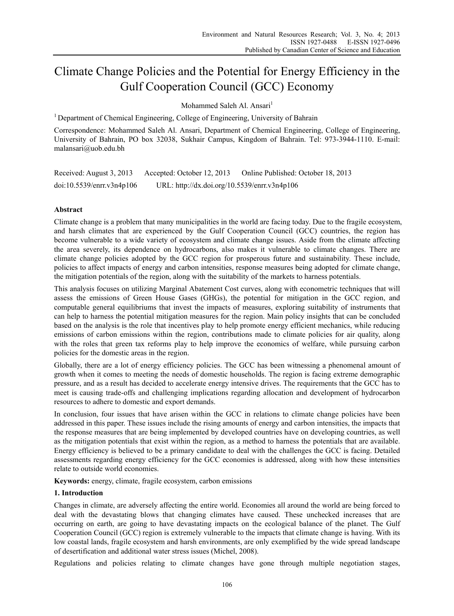# Climate Change Policies and the Potential for Energy Efficiency in the Gulf Cooperation Council (GCC) Economy

Mohammed Saleh Al. Ansari<sup>1</sup>

<sup>1</sup> Department of Chemical Engineering, College of Engineering, University of Bahrain

Correspondence: Mohammed Saleh Al. Ansari, Department of Chemical Engineering, College of Engineering, University of Bahrain, PO box 32038, Sukhair Campus, Kingdom of Bahrain. Tel: 973-3944-1110. E-mail: malansari@uob.edu.bh

Received: August 3, 2013 Accepted: October 12, 2013 Online Published: October 18, 2013 doi:10.5539/enrr.v3n4p106 URL: http://dx.doi.org/10.5539/enrr.v3n4p106

## **Abstract**

Climate change is a problem that many municipalities in the world are facing today. Due to the fragile ecosystem, and harsh climates that are experienced by the Gulf Cooperation Council (GCC) countries, the region has become vulnerable to a wide variety of ecosystem and climate change issues. Aside from the climate affecting the area severely, its dependence on hydrocarbons, also makes it vulnerable to climate changes. There are climate change policies adopted by the GCC region for prosperous future and sustainability. These include, policies to affect impacts of energy and carbon intensities, response measures being adopted for climate change, the mitigation potentials of the region, along with the suitability of the markets to harness potentials.

This analysis focuses on utilizing Marginal Abatement Cost curves, along with econometric techniques that will assess the emissions of Green House Gases (GHGs), the potential for mitigation in the GCC region, and computable general equilibriums that invest the impacts of measures, exploring suitability of instruments that can help to harness the potential mitigation measures for the region. Main policy insights that can be concluded based on the analysis is the role that incentives play to help promote energy efficient mechanics, while reducing emissions of carbon emissions within the region, contributions made to climate policies for air quality, along with the roles that green tax reforms play to help improve the economics of welfare, while pursuing carbon policies for the domestic areas in the region.

Globally, there are a lot of energy efficiency policies. The GCC has been witnessing a phenomenal amount of growth when it comes to meeting the needs of domestic households. The region is facing extreme demographic pressure, and as a result has decided to accelerate energy intensive drives. The requirements that the GCC has to meet is causing trade-offs and challenging implications regarding allocation and development of hydrocarbon resources to adhere to domestic and export demands.

In conclusion, four issues that have arisen within the GCC in relations to climate change policies have been addressed in this paper. These issues include the rising amounts of energy and carbon intensities, the impacts that the response measures that are being implemented by developed countries have on developing countries, as well as the mitigation potentials that exist within the region, as a method to harness the potentials that are available. Energy efficiency is believed to be a primary candidate to deal with the challenges the GCC is facing. Detailed assessments regarding energy efficiency for the GCC economies is addressed, along with how these intensities relate to outside world economies.

**Keywords:** energy, climate, fragile ecosystem, carbon emissions

## **1. Introduction**

Changes in climate, are adversely affecting the entire world. Economies all around the world are being forced to deal with the devastating blows that changing climates have caused. These unchecked increases that are occurring on earth, are going to have devastating impacts on the ecological balance of the planet. The Gulf Cooperation Council (GCC) region is extremely vulnerable to the impacts that climate change is having. With its low coastal lands, fragile ecosystem and harsh environments, are only exemplified by the wide spread landscape of desertification and additional water stress issues (Michel, 2008).

Regulations and policies relating to climate changes have gone through multiple negotiation stages,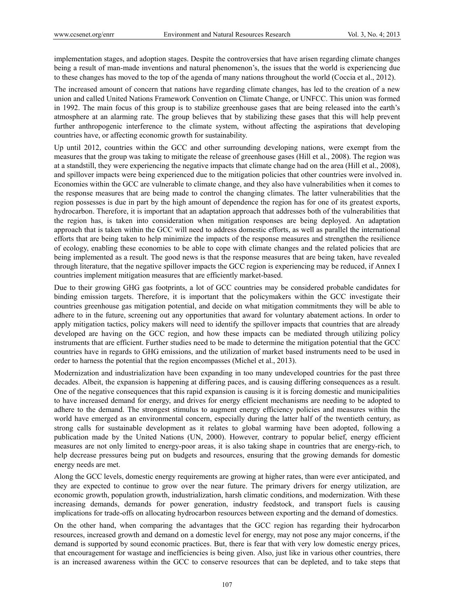implementation stages, and adoption stages. Despite the controversies that have arisen regarding climate changes being a result of man-made inventions and natural phenomenon's, the issues that the world is experiencing due to these changes has moved to the top of the agenda of many nations throughout the world (Coccia et al., 2012).

The increased amount of concern that nations have regarding climate changes, has led to the creation of a new union and called United Nations Framework Convention on Climate Change, or UNFCC. This union was formed in 1992. The main focus of this group is to stabilize greenhouse gases that are being released into the earth's atmosphere at an alarming rate. The group believes that by stabilizing these gases that this will help prevent further anthropogenic interference to the climate system, without affecting the aspirations that developing countries have, or affecting economic growth for sustainability.

Up until 2012, countries within the GCC and other surrounding developing nations, were exempt from the measures that the group was taking to mitigate the release of greenhouse gases (Hill et al., 2008). The region was at a standstill, they were experiencing the negative impacts that climate change had on the area (Hill et al., 2008), and spillover impacts were being experienced due to the mitigation policies that other countries were involved in. Economies within the GCC are vulnerable to climate change, and they also have vulnerabilities when it comes to the response measures that are being made to control the changing climates. The latter vulnerabilities that the region possesses is due in part by the high amount of dependence the region has for one of its greatest exports, hydrocarbon. Therefore, it is important that an adaptation approach that addresses both of the vulnerabilities that the region has, is taken into consideration when mitigation responses are being deployed. An adaptation approach that is taken within the GCC will need to address domestic efforts, as well as parallel the international efforts that are being taken to help minimize the impacts of the response measures and strengthen the resilience of ecology, enabling these economies to be able to cope with climate changes and the related policies that are being implemented as a result. The good news is that the response measures that are being taken, have revealed through literature, that the negative spillover impacts the GCC region is experiencing may be reduced, if Annex I countries implement mitigation measures that are efficiently market-based.

Due to their growing GHG gas footprints, a lot of GCC countries may be considered probable candidates for binding emission targets. Therefore, it is important that the policymakers within the GCC investigate their countries greenhouse gas mitigation potential, and decide on what mitigation commitments they will be able to adhere to in the future, screening out any opportunities that award for voluntary abatement actions. In order to apply mitigation tactics, policy makers will need to identify the spillover impacts that countries that are already developed are having on the GCC region, and how these impacts can be mediated through utilizing policy instruments that are efficient. Further studies need to be made to determine the mitigation potential that the GCC countries have in regards to GHG emissions, and the utilization of market based instruments need to be used in order to harness the potential that the region encompasses (Michel et al., 2013).

Modernization and industrialization have been expanding in too many undeveloped countries for the past three decades. Albeit, the expansion is happening at differing paces, and is causing differing consequences as a result. One of the negative consequences that this rapid expansion is causing is it is forcing domestic and municipalities to have increased demand for energy, and drives for energy efficient mechanisms are needing to be adopted to adhere to the demand. The strongest stimulus to augment energy efficiency policies and measures within the world have emerged as an environmental concern, especially during the latter half of the twentieth century, as strong calls for sustainable development as it relates to global warming have been adopted, following a publication made by the United Nations (UN, 2000). However, contrary to popular belief, energy efficient measures are not only limited to energy-poor areas, it is also taking shape in countries that are energy-rich, to help decrease pressures being put on budgets and resources, ensuring that the growing demands for domestic energy needs are met.

Along the GCC levels, domestic energy requirements are growing at higher rates, than were ever anticipated, and they are expected to continue to grow over the near future. The primary drivers for energy utilization, are economic growth, population growth, industrialization, harsh climatic conditions, and modernization. With these increasing demands, demands for power generation, industry feedstock, and transport fuels is causing implications for trade-offs on allocating hydrocarbon resources between exporting and the demand of domestics.

On the other hand, when comparing the advantages that the GCC region has regarding their hydrocarbon resources, increased growth and demand on a domestic level for energy, may not pose any major concerns, if the demand is supported by sound economic practices. But, there is fear that with very low domestic energy prices, that encouragement for wastage and inefficiencies is being given. Also, just like in various other countries, there is an increased awareness within the GCC to conserve resources that can be depleted, and to take steps that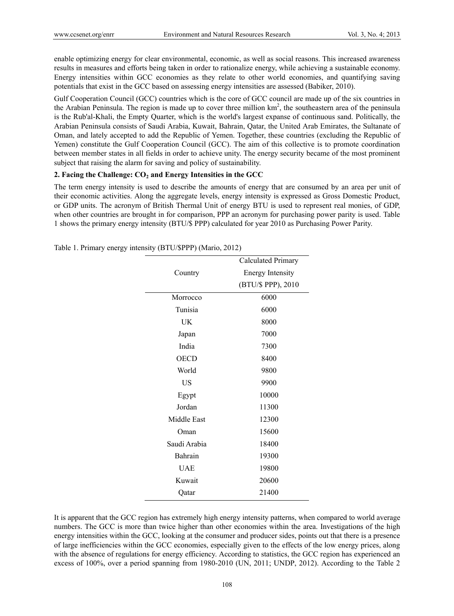enable optimizing energy for clear environmental, economic, as well as social reasons. This increased awareness results in measures and efforts being taken in order to rationalize energy, while achieving a sustainable economy. Energy intensities within GCC economies as they relate to other world economies, and quantifying saving potentials that exist in the GCC based on assessing energy intensities are assessed (Babiker, 2010).

Gulf Cooperation Council (GCC) countries which is the core of GCC council are made up of the six countries in the Arabian Peninsula. The region is made up to cover three million  $km^2$ , the southeastern area of the peninsula is the Rub'al-Khali, the Empty Quarter, which is the world's largest expanse of continuous sand. Politically, the Arabian Peninsula consists of Saudi Arabia, Kuwait, Bahrain, Qatar, the United Arab Emirates, the Sultanate of Oman, and lately accepted to add the Republic of Yemen. Together, these countries (excluding the Republic of Yemen) constitute the Gulf Cooperation Council (GCC). The aim of this collective is to promote coordination between member states in all fields in order to achieve unity. The energy security became of the most prominent subject that raising the alarm for saving and policy of sustainability.

### **2. Facing the Challenge: CO<sub>2</sub> and Energy Intensities in the GCC**

The term energy intensity is used to describe the amounts of energy that are consumed by an area per unit of their economic activities. Along the aggregate levels, energy intensity is expressed as Gross Domestic Product, or GDP units. The acronym of British Thermal Unit of energy BTU is used to represent real monies, of GDP, when other countries are brought in for comparison, PPP an acronym for purchasing power parity is used. Table 1 shows the primary energy intensity (BTU/\$ PPP) calculated for year 2010 as Purchasing Power Parity.

|              | <b>Calculated Primary</b> |
|--------------|---------------------------|
| Country      | <b>Energy Intensity</b>   |
|              | (BTU/\$ PPP), 2010        |
| Morrocco     | 6000                      |
| Tunisia      | 6000                      |
| UK           | 8000                      |
| Japan        | 7000                      |
| India        | 7300                      |
| <b>OECD</b>  | 8400                      |
| World        | 9800                      |
| <b>US</b>    | 9900                      |
| Egypt        | 10000                     |
| Jordan       | 11300                     |
| Middle East  | 12300                     |
| Oman         | 15600                     |
| Saudi Arabia | 18400                     |
| Bahrain      | 19300                     |
| <b>UAE</b>   | 19800                     |
| Kuwait       | 20600                     |
| Qatar        | 21400                     |
|              |                           |

Table 1. Primary energy intensity (BTU/\$PPP) (Mario, 2012)

It is apparent that the GCC region has extremely high energy intensity patterns, when compared to world average numbers. The GCC is more than twice higher than other economies within the area. Investigations of the high energy intensities within the GCC, looking at the consumer and producer sides, points out that there is a presence of large inefficiencies within the GCC economies, especially given to the effects of the low energy prices, along with the absence of regulations for energy efficiency. According to statistics, the GCC region has experienced an excess of 100%, over a period spanning from 1980-2010 (UN, 2011; UNDP, 2012). According to the Table 2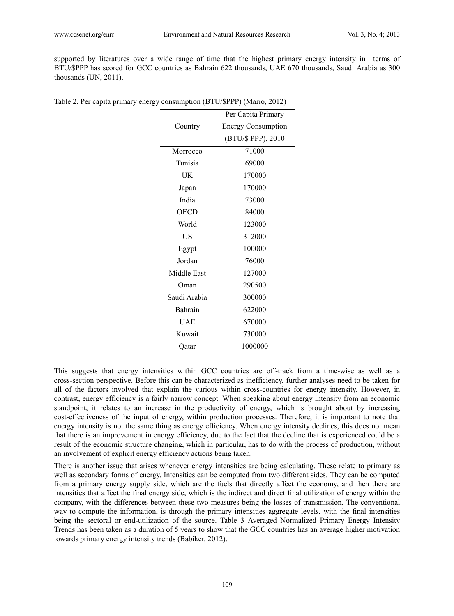supported by literatures over a wide range of time that the highest primary energy intensity in terms of BTU/\$PPP has scored for GCC countries as Bahrain 622 thousands, UAE 670 thousands, Saudi Arabia as 300 thousands (UN, 2011).

|              | Per Capita Primary        |  |  |  |
|--------------|---------------------------|--|--|--|
| Country      | <b>Energy Consumption</b> |  |  |  |
|              | (BTU/\$ PPP), 2010        |  |  |  |
| Morrocco     | 71000                     |  |  |  |
| Tunisia      | 69000                     |  |  |  |
| UK           | 170000                    |  |  |  |
| Japan        | 170000                    |  |  |  |
| India        | 73000                     |  |  |  |
| <b>OECD</b>  | 84000                     |  |  |  |
| World        | 123000                    |  |  |  |
| <b>US</b>    | 312000                    |  |  |  |
| Egypt        | 100000                    |  |  |  |
| Jordan       | 76000                     |  |  |  |
| Middle East  | 127000                    |  |  |  |
| Oman         | 290500                    |  |  |  |
| Saudi Arabia | 300000                    |  |  |  |
| Bahrain      | 622000                    |  |  |  |
| <b>UAE</b>   | 670000                    |  |  |  |
| Kuwait       | 730000                    |  |  |  |
| Qatar        | 1000000                   |  |  |  |
|              |                           |  |  |  |

Table 2. Per capita primary energy consumption (BTU/\$PPP) (Mario, 2012)

This suggests that energy intensities within GCC countries are off-track from a time-wise as well as a cross-section perspective. Before this can be characterized as inefficiency, further analyses need to be taken for all of the factors involved that explain the various within cross-countries for energy intensity. However, in contrast, energy efficiency is a fairly narrow concept. When speaking about energy intensity from an economic standpoint, it relates to an increase in the productivity of energy, which is brought about by increasing cost-effectiveness of the input of energy, within production processes. Therefore, it is important to note that energy intensity is not the same thing as energy efficiency. When energy intensity declines, this does not mean that there is an improvement in energy efficiency, due to the fact that the decline that is experienced could be a result of the economic structure changing, which in particular, has to do with the process of production, without an involvement of explicit energy efficiency actions being taken.

There is another issue that arises whenever energy intensities are being calculating. These relate to primary as well as secondary forms of energy. Intensities can be computed from two different sides. They can be computed from a primary energy supply side, which are the fuels that directly affect the economy, and then there are intensities that affect the final energy side, which is the indirect and direct final utilization of energy within the company, with the differences between these two measures being the losses of transmission. The conventional way to compute the information, is through the primary intensities aggregate levels, with the final intensities being the sectoral or end-utilization of the source. Table 3 Averaged Normalized Primary Energy Intensity Trends has been taken as a duration of 5 years to show that the GCC countries has an average higher motivation towards primary energy intensity trends (Babiker, 2012).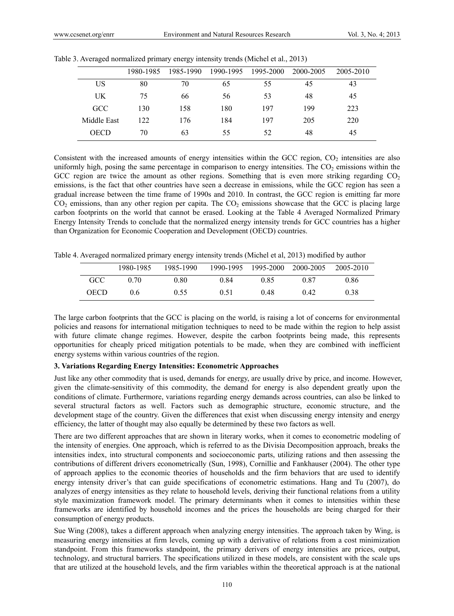|             | 1980-1985 | 1985-1990 | 1990-1995 | 1995-2000 | 2000-2005 | 2005-2010 |  |
|-------------|-----------|-----------|-----------|-----------|-----------|-----------|--|
| US          | 80        | 70        | 65        | 55        | 45        | 43        |  |
| UK          | 75        | 66        | 56        | 53        | 48        | 45        |  |
| <b>GCC</b>  | 130       | 158       | 180       | 197       | 199       | 223       |  |
| Middle East | 122       | 176       | 184       | 197       | 205       | 220       |  |
| <b>OECD</b> | 70        | 63        | 55        | 52        | 48        | 45        |  |

Table 3. Averaged normalized primary energy intensity trends (Michel et al., 2013)

Consistent with the increased amounts of energy intensities within the GCC region,  $CO<sub>2</sub>$  intensities are also uniformly high, posing the same percentage in comparison to energy intensities. The  $CO<sub>2</sub>$  emissions within the GCC region are twice the amount as other regions. Something that is even more striking regarding  $CO<sub>2</sub>$ emissions, is the fact that other countries have seen a decrease in emissions, while the GCC region has seen a gradual increase between the time frame of 1990s and 2010. In contrast, the GCC region is emitting far more  $CO<sub>2</sub>$  emissions, than any other region per capita. The  $CO<sub>2</sub>$  emissions showcase that the GCC is placing large carbon footprints on the world that cannot be erased. Looking at the Table 4 Averaged Normalized Primary Energy Intensity Trends to conclude that the normalized energy intensity trends for GCC countries has a higher than Organization for Economic Cooperation and Development (OECD) countries.

Table 4. Averaged normalized primary energy intensity trends (Michel et al, 2013) modified by author

|             | 1980-1985 | 1985-1990 | 1990-1995 | 1995-2000 | 2000-2005 | 2005-2010 |
|-------------|-----------|-----------|-----------|-----------|-----------|-----------|
| GCC         | 0.70      | 0.80      | 0.84      | 0.85      | 0.87      | 0.86      |
| <b>OECD</b> | 96        | 0.55      | 0.51      | 0.48      | 0.42      | 0.38      |

The large carbon footprints that the GCC is placing on the world, is raising a lot of concerns for environmental policies and reasons for international mitigation techniques to need to be made within the region to help assist with future climate change regimes. However, despite the carbon footprints being made, this represents opportunities for cheaply priced mitigation potentials to be made, when they are combined with inefficient energy systems within various countries of the region.

#### **3. Variations Regarding Energy Intensities: Econometric Approaches**

Just like any other commodity that is used, demands for energy, are usually drive by price, and income. However, given the climate-sensitivity of this commodity, the demand for energy is also dependent greatly upon the conditions of climate. Furthermore, variations regarding energy demands across countries, can also be linked to several structural factors as well. Factors such as demographic structure, economic structure, and the development stage of the country. Given the differences that exist when discussing energy intensity and energy efficiency, the latter of thought may also equally be determined by these two factors as well.

There are two different approaches that are shown in literary works, when it comes to econometric modeling of the intensity of energies. One approach, which is referred to as the Divisia Decomposition approach, breaks the intensities index, into structural components and socioeconomic parts, utilizing rations and then assessing the contributions of different drivers econometrically (Sun, 1998), Cornillie and Fankhauser (2004). The other type of approach applies to the economic theories of households and the firm behaviors that are used to identify energy intensity driver's that can guide specifications of econometric estimations. Hang and Tu (2007), do analyzes of energy intensities as they relate to household levels, deriving their functional relations from a utility style maximization framework model. The primary determinants when it comes to intensities within these frameworks are identified by household incomes and the prices the households are being charged for their consumption of energy products.

Sue Wing (2008), takes a different approach when analyzing energy intensities. The approach taken by Wing, is measuring energy intensities at firm levels, coming up with a derivative of relations from a cost minimization standpoint. From this frameworks standpoint, the primary derivers of energy intensities are prices, output, technology, and structural barriers. The specifications utilized in these models, are consistent with the scale ups that are utilized at the household levels, and the firm variables within the theoretical approach is at the national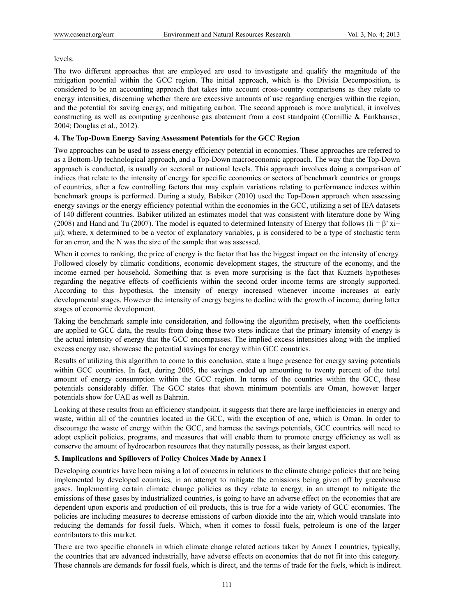#### levels.

The two different approaches that are employed are used to investigate and qualify the magnitude of the mitigation potential within the GCC region. The initial approach, which is the Divisia Decomposition, is considered to be an accounting approach that takes into account cross-country comparisons as they relate to energy intensities, discerning whether there are excessive amounts of use regarding energies within the region, and the potential for saving energy, and mitigating carbon. The second approach is more analytical, it involves constructing as well as computing greenhouse gas abatement from a cost standpoint (Cornillie & Fankhauser, 2004; Douglas et al., 2012).

### **4. The Top-Down Energy Saving Assessment Potentials for the GCC Region**

Two approaches can be used to assess energy efficiency potential in economies. These approaches are referred to as a Bottom-Up technological approach, and a Top-Down macroeconomic approach. The way that the Top-Down approach is conducted, is usually on sectoral or national levels. This approach involves doing a comparison of indices that relate to the intensity of energy for specific economies or sectors of benchmark countries or groups of countries, after a few controlling factors that may explain variations relating to performance indexes within benchmark groups is performed. During a study, Babiker (2010) used the Top-Down approach when assessing energy savings or the energy efficiency potential within the economies in the GCC, utilizing a set of IEA datasets of 140 different countries. Babiker utilized an estimates model that was consistent with literature done by Wing (2008) and Hand and Tu (2007). The model is equated to determined Intensity of Energy that follows (Ii =  $\beta$ ' xi+ μi); where, x determined to be a vector of explanatory variables, μ is considered to be a type of stochastic term for an error, and the N was the size of the sample that was assessed.

When it comes to ranking, the price of energy is the factor that has the biggest impact on the intensity of energy. Followed closely by climatic conditions, economic development stages, the structure of the economy, and the income earned per household. Something that is even more surprising is the fact that Kuznets hypotheses regarding the negative effects of coefficients within the second order income terms are strongly supported. According to this hypothesis, the intensity of energy increased whenever income increases at early developmental stages. However the intensity of energy begins to decline with the growth of income, during latter stages of economic development.

Taking the benchmark sample into consideration, and following the algorithm precisely, when the coefficients are applied to GCC data, the results from doing these two steps indicate that the primary intensity of energy is the actual intensity of energy that the GCC encompasses. The implied excess intensities along with the implied excess energy use, showcase the potential savings for energy within GCC countries.

Results of utilizing this algorithm to come to this conclusion, state a huge presence for energy saving potentials within GCC countries. In fact, during 2005, the savings ended up amounting to twenty percent of the total amount of energy consumption within the GCC region. In terms of the countries within the GCC, these potentials considerably differ. The GCC states that shown minimum potentials are Oman, however larger potentials show for UAE as well as Bahrain.

Looking at these results from an efficiency standpoint, it suggests that there are large inefficiencies in energy and waste, within all of the countries located in the GCC, with the exception of one, which is Oman. In order to discourage the waste of energy within the GCC, and harness the savings potentials, GCC countries will need to adopt explicit policies, programs, and measures that will enable them to promote energy efficiency as well as conserve the amount of hydrocarbon resources that they naturally possess, as their largest export.

### **5. Implications and Spillovers of Policy Choices Made by Annex I**

Developing countries have been raising a lot of concerns in relations to the climate change policies that are being implemented by developed countries, in an attempt to mitigate the emissions being given off by greenhouse gases. Implementing certain climate change policies as they relate to energy, in an attempt to mitigate the emissions of these gases by industrialized countries, is going to have an adverse effect on the economies that are dependent upon exports and production of oil products, this is true for a wide variety of GCC economies. The policies are including measures to decrease emissions of carbon dioxide into the air, which would translate into reducing the demands for fossil fuels. Which, when it comes to fossil fuels, petroleum is one of the larger contributors to this market.

There are two specific channels in which climate change related actions taken by Annex I countries, typically, the countries that are advanced industrially, have adverse effects on economies that do not fit into this category. These channels are demands for fossil fuels, which is direct, and the terms of trade for the fuels, which is indirect.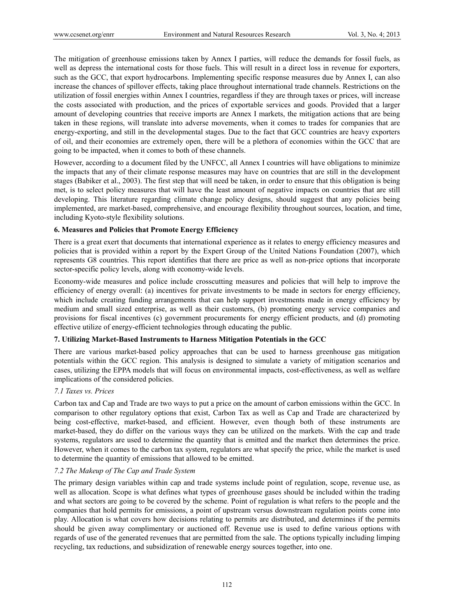The mitigation of greenhouse emissions taken by Annex I parties, will reduce the demands for fossil fuels, as well as depress the international costs for those fuels. This will result in a direct loss in revenue for exporters, such as the GCC, that export hydrocarbons. Implementing specific response measures due by Annex I, can also increase the chances of spillover effects, taking place throughout international trade channels. Restrictions on the utilization of fossil energies within Annex I countries, regardless if they are through taxes or prices, will increase the costs associated with production, and the prices of exportable services and goods. Provided that a larger amount of developing countries that receive imports are Annex I markets, the mitigation actions that are being taken in these regions, will translate into adverse movements, when it comes to trades for companies that are energy-exporting, and still in the developmental stages. Due to the fact that GCC countries are heavy exporters of oil, and their economies are extremely open, there will be a plethora of economies within the GCC that are going to be impacted, when it comes to both of these channels.

However, according to a document filed by the UNFCC, all Annex I countries will have obligations to minimize the impacts that any of their climate response measures may have on countries that are still in the development stages (Babiker et al., 2003). The first step that will need be taken, in order to ensure that this obligation is being met, is to select policy measures that will have the least amount of negative impacts on countries that are still developing. This literature regarding climate change policy designs, should suggest that any policies being implemented, are market-based, comprehensive, and encourage flexibility throughout sources, location, and time, including Kyoto-style flexibility solutions.

### **6. Measures and Policies that Promote Energy Efficiency**

There is a great exert that documents that international experience as it relates to energy efficiency measures and policies that is provided within a report by the Expert Group of the United Nations Foundation (2007), which represents G8 countries. This report identifies that there are price as well as non-price options that incorporate sector-specific policy levels, along with economy-wide levels.

Economy-wide measures and police include crosscutting measures and policies that will help to improve the efficiency of energy overall: (a) incentives for private investments to be made in sectors for energy efficiency, which include creating funding arrangements that can help support investments made in energy efficiency by medium and small sized enterprise, as well as their customers, (b) promoting energy service companies and provisions for fiscal incentives (c) government procurements for energy efficient products, and (d) promoting effective utilize of energy-efficient technologies through educating the public.

### **7. Utilizing Market-Based Instruments to Harness Mitigation Potentials in the GCC**

There are various market-based policy approaches that can be used to harness greenhouse gas mitigation potentials within the GCC region. This analysis is designed to simulate a variety of mitigation scenarios and cases, utilizing the EPPA models that will focus on environmental impacts, cost-effectiveness, as well as welfare implications of the considered policies.

### *7.1 Taxes vs. Prices*

Carbon tax and Cap and Trade are two ways to put a price on the amount of carbon emissions within the GCC. In comparison to other regulatory options that exist, Carbon Tax as well as Cap and Trade are characterized by being cost-effective, market-based, and efficient. However, even though both of these instruments are market-based, they do differ on the various ways they can be utilized on the markets. With the cap and trade systems, regulators are used to determine the quantity that is emitted and the market then determines the price. However, when it comes to the carbon tax system, regulators are what specify the price, while the market is used to determine the quantity of emissions that allowed to be emitted.

### *7.2 The Makeup of The Cap and Trade System*

The primary design variables within cap and trade systems include point of regulation, scope, revenue use, as well as allocation. Scope is what defines what types of greenhouse gases should be included within the trading and what sectors are going to be covered by the scheme. Point of regulation is what refers to the people and the companies that hold permits for emissions, a point of upstream versus downstream regulation points come into play. Allocation is what covers how decisions relating to permits are distributed, and determines if the permits should be given away complimentary or auctioned off. Revenue use is used to define various options with regards of use of the generated revenues that are permitted from the sale. The options typically including limping recycling, tax reductions, and subsidization of renewable energy sources together, into one.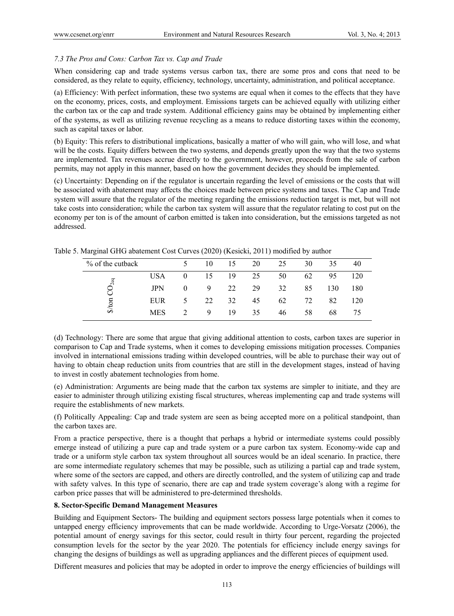#### *7.3 The Pros and Cons: Carbon Tax vs. Cap and Trade*

When considering cap and trade systems versus carbon tax, there are some pros and cons that need to be considered, as they relate to equity, efficiency, technology, uncertainty, administration, and political acceptance.

(a) Efficiency: With perfect information, these two systems are equal when it comes to the effects that they have on the economy, prices, costs, and employment. Emissions targets can be achieved equally with utilizing either the carbon tax or the cap and trade system. Additional efficiency gains may be obtained by implementing either of the systems, as well as utilizing revenue recycling as a means to reduce distorting taxes within the economy, such as capital taxes or labor.

(b) Equity: This refers to distributional implications, basically a matter of who will gain, who will lose, and what will be the costs. Equity differs between the two systems, and depends greatly upon the way that the two systems are implemented. Tax revenues accrue directly to the government, however, proceeds from the sale of carbon permits, may not apply in this manner, based on how the government decides they should be implemented.

(c) Uncertainty: Depending on if the regulator is uncertain regarding the level of emissions or the costs that will be associated with abatement may affects the choices made between price systems and taxes. The Cap and Trade system will assure that the regulator of the meeting regarding the emissions reduction target is met, but will not take costs into consideration; while the carbon tax system will assure that the regulator relating to cost put on the economy per ton is of the amount of carbon emitted is taken into consideration, but the emissions targeted as not addressed.

| % of the cutback |            |          | 10 | 15 | 20 | 25 | 30 | 35  | 40  |
|------------------|------------|----------|----|----|----|----|----|-----|-----|
| 2eq              | <b>USA</b> |          | 15 | 19 | 25 | 50 | 62 | 95  | 120 |
| Ō                | <b>JPN</b> | $\theta$ | 9  | 22 | 29 | 32 | 85 | 130 | 180 |
| \$/ton           | EUR        |          | 22 | 32 | 45 | 62 | 72 | 82  | 120 |
|                  | <b>MES</b> |          | 9  | 19 | 35 | 46 | 58 | 68  |     |

Table 5. Marginal GHG abatement Cost Curves (2020) (Kesicki, 2011) modified by author

(d) Technology: There are some that argue that giving additional attention to costs, carbon taxes are superior in comparison to Cap and Trade systems, when it comes to developing emissions mitigation processes. Companies involved in international emissions trading within developed countries, will be able to purchase their way out of having to obtain cheap reduction units from countries that are still in the development stages, instead of having to invest in costly abatement technologies from home.

(e) Administration: Arguments are being made that the carbon tax systems are simpler to initiate, and they are easier to administer through utilizing existing fiscal structures, whereas implementing cap and trade systems will require the establishments of new markets.

(f) Politically Appealing: Cap and trade system are seen as being accepted more on a political standpoint, than the carbon taxes are.

From a practice perspective, there is a thought that perhaps a hybrid or intermediate systems could possibly emerge instead of utilizing a pure cap and trade system or a pure carbon tax system. Economy-wide cap and trade or a uniform style carbon tax system throughout all sources would be an ideal scenario. In practice, there are some intermediate regulatory schemes that may be possible, such as utilizing a partial cap and trade system, where some of the sectors are capped, and others are directly controlled, and the system of utilizing cap and trade with safety valves. In this type of scenario, there are cap and trade system coverage's along with a regime for carbon price passes that will be administered to pre-determined thresholds.

#### **8. Sector-Specific Demand Management Measures**

Building and Equipment Sectors- The building and equipment sectors possess large potentials when it comes to untapped energy efficiency improvements that can be made worldwide. According to Urge-Vorsatz (2006), the potential amount of energy savings for this sector, could result in thirty four percent, regarding the projected consumption levels for the sector by the year 2020. The potentials for efficiency include energy savings for changing the designs of buildings as well as upgrading appliances and the different pieces of equipment used.

Different measures and policies that may be adopted in order to improve the energy efficiencies of buildings will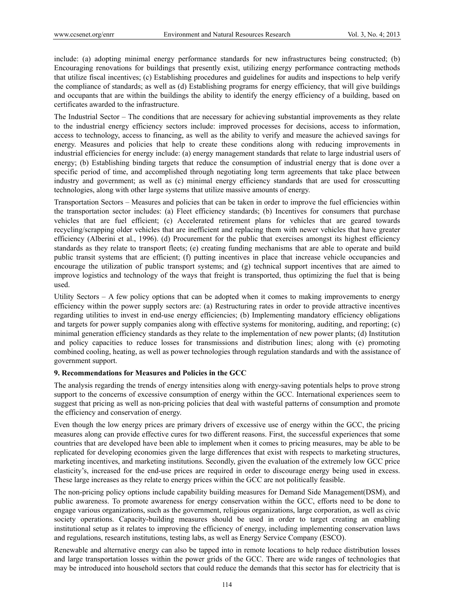include: (a) adopting minimal energy performance standards for new infrastructures being constructed; (b) Encouraging renovations for buildings that presently exist, utilizing energy performance contracting methods that utilize fiscal incentives; (c) Establishing procedures and guidelines for audits and inspections to help verify the compliance of standards; as well as (d) Establishing programs for energy efficiency, that will give buildings and occupants that are within the buildings the ability to identify the energy efficiency of a building, based on certificates awarded to the infrastructure.

The Industrial Sector – The conditions that are necessary for achieving substantial improvements as they relate to the industrial energy efficiency sectors include: improved processes for decisions, access to information, access to technology, access to financing, as well as the ability to verify and measure the achieved savings for energy. Measures and policies that help to create these conditions along with reducing improvements in industrial efficiencies for energy include: (a) energy management standards that relate to large industrial users of energy; (b) Establishing binding targets that reduce the consumption of industrial energy that is done over a specific period of time, and accomplished through negotiating long term agreements that take place between industry and government; as well as (c) minimal energy efficiency standards that are used for crosscutting technologies, along with other large systems that utilize massive amounts of energy.

Transportation Sectors – Measures and policies that can be taken in order to improve the fuel efficiencies within the transportation sector includes: (a) Fleet efficiency standards; (b) Incentives for consumers that purchase vehicles that are fuel efficient; (c) Accelerated retirement plans for vehicles that are geared towards recycling/scrapping older vehicles that are inefficient and replacing them with newer vehicles that have greater efficiency (Alberini et al., 1996). (d) Procurement for the public that exercises amongst its highest efficiency standards as they relate to transport fleets; (e) creating funding mechanisms that are able to operate and build public transit systems that are efficient; (f) putting incentives in place that increase vehicle occupancies and encourage the utilization of public transport systems; and (g) technical support incentives that are aimed to improve logistics and technology of the ways that freight is transported, thus optimizing the fuel that is being used.

Utility Sectors – A few policy options that can be adopted when it comes to making improvements to energy efficiency within the power supply sectors are: (a) Restructuring rates in order to provide attractive incentives regarding utilities to invest in end-use energy efficiencies; (b) Implementing mandatory efficiency obligations and targets for power supply companies along with effective systems for monitoring, auditing, and reporting; (c) minimal generation efficiency standards as they relate to the implementation of new power plants; (d) Institution and policy capacities to reduce losses for transmissions and distribution lines; along with (e) promoting combined cooling, heating, as well as power technologies through regulation standards and with the assistance of government support.

### **9. Recommendations for Measures and Policies in the GCC**

The analysis regarding the trends of energy intensities along with energy-saving potentials helps to prove strong support to the concerns of excessive consumption of energy within the GCC. International experiences seem to suggest that pricing as well as non-pricing policies that deal with wasteful patterns of consumption and promote the efficiency and conservation of energy.

Even though the low energy prices are primary drivers of excessive use of energy within the GCC, the pricing measures along can provide effective cures for two different reasons. First, the successful experiences that some countries that are developed have been able to implement when it comes to pricing measures, may be able to be replicated for developing economies given the large differences that exist with respects to marketing structures, marketing incentives, and marketing institutions. Secondly, given the evaluation of the extremely low GCC price elasticity's, increased for the end-use prices are required in order to discourage energy being used in excess. These large increases as they relate to energy prices within the GCC are not politically feasible.

The non-pricing policy options include capability building measures for Demand Side Management(DSM), and public awareness. To promote awareness for energy conservation within the GCC, efforts need to be done to engage various organizations, such as the government, religious organizations, large corporation, as well as civic society operations. Capacity-building measures should be used in order to target creating an enabling institutional setup as it relates to improving the efficiency of energy, including implementing conservation laws and regulations, research institutions, testing labs, as well as Energy Service Company (ESCO).

Renewable and alternative energy can also be tapped into in remote locations to help reduce distribution losses and large transportation losses within the power grids of the GCC. There are wide ranges of technologies that may be introduced into household sectors that could reduce the demands that this sector has for electricity that is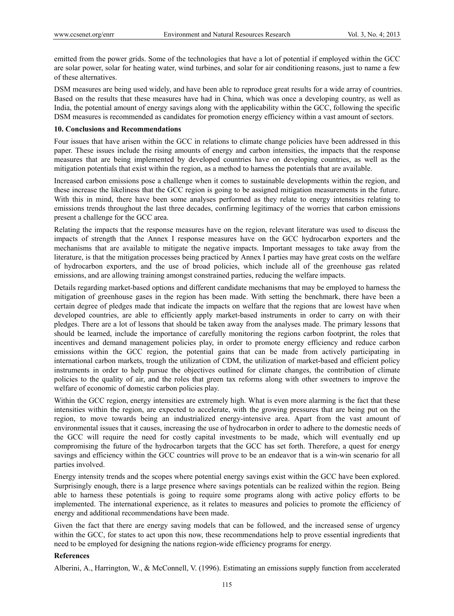emitted from the power grids. Some of the technologies that have a lot of potential if employed within the GCC are solar power, solar for heating water, wind turbines, and solar for air conditioning reasons, just to name a few of these alternatives.

DSM measures are being used widely, and have been able to reproduce great results for a wide array of countries. Based on the results that these measures have had in China, which was once a developing country, as well as India, the potential amount of energy savings along with the applicability within the GCC, following the specific DSM measures is recommended as candidates for promotion energy efficiency within a vast amount of sectors.

#### **10. Conclusions and Recommendations**

Four issues that have arisen within the GCC in relations to climate change policies have been addressed in this paper. These issues include the rising amounts of energy and carbon intensities, the impacts that the response measures that are being implemented by developed countries have on developing countries, as well as the mitigation potentials that exist within the region, as a method to harness the potentials that are available.

Increased carbon emissions pose a challenge when it comes to sustainable developments within the region, and these increase the likeliness that the GCC region is going to be assigned mitigation measurements in the future. With this in mind, there have been some analyses performed as they relate to energy intensities relating to emissions trends throughout the last three decades, confirming legitimacy of the worries that carbon emissions present a challenge for the GCC area.

Relating the impacts that the response measures have on the region, relevant literature was used to discuss the impacts of strength that the Annex I response measures have on the GCC hydrocarbon exporters and the mechanisms that are available to mitigate the negative impacts. Important messages to take away from the literature, is that the mitigation processes being practiced by Annex I parties may have great costs on the welfare of hydrocarbon exporters, and the use of broad policies, which include all of the greenhouse gas related emissions, and are allowing training amongst constrained parties, reducing the welfare impacts.

Details regarding market-based options and different candidate mechanisms that may be employed to harness the mitigation of greenhouse gases in the region has been made. With setting the benchmark, there have been a certain degree of pledges made that indicate the impacts on welfare that the regions that are lowest have when developed countries, are able to efficiently apply market-based instruments in order to carry on with their pledges. There are a lot of lessons that should be taken away from the analyses made. The primary lessons that should be learned, include the importance of carefully monitoring the regions carbon footprint, the roles that incentives and demand management policies play, in order to promote energy efficiency and reduce carbon emissions within the GCC region, the potential gains that can be made from actively participating in international carbon markets, trough the utilization of CDM, the utilization of market-based and efficient policy instruments in order to help pursue the objectives outlined for climate changes, the contribution of climate policies to the quality of air, and the roles that green tax reforms along with other sweetners to improve the welfare of economic of domestic carbon policies play.

Within the GCC region, energy intensities are extremely high. What is even more alarming is the fact that these intensities within the region, are expected to accelerate, with the growing pressures that are being put on the region, to move towards being an industrialized energy-intensive area. Apart from the vast amount of environmental issues that it causes, increasing the use of hydrocarbon in order to adhere to the domestic needs of the GCC will require the need for costly capital investments to be made, which will eventually end up compromising the future of the hydrocarbon targets that the GCC has set forth. Therefore, a quest for energy savings and efficiency within the GCC countries will prove to be an endeavor that is a win-win scenario for all parties involved.

Energy intensity trends and the scopes where potential energy savings exist within the GCC have been explored. Surprisingly enough, there is a large presence where savings potentials can be realized within the region. Being able to harness these potentials is going to require some programs along with active policy efforts to be implemented. The international experience, as it relates to measures and policies to promote the efficiency of energy and additional recommendations have been made.

Given the fact that there are energy saving models that can be followed, and the increased sense of urgency within the GCC, for states to act upon this now, these recommendations help to prove essential ingredients that need to be employed for designing the nations region-wide efficiency programs for energy.

### **References**

Alberini, A., Harrington, W., & McConnell, V. (1996). Estimating an emissions supply function from accelerated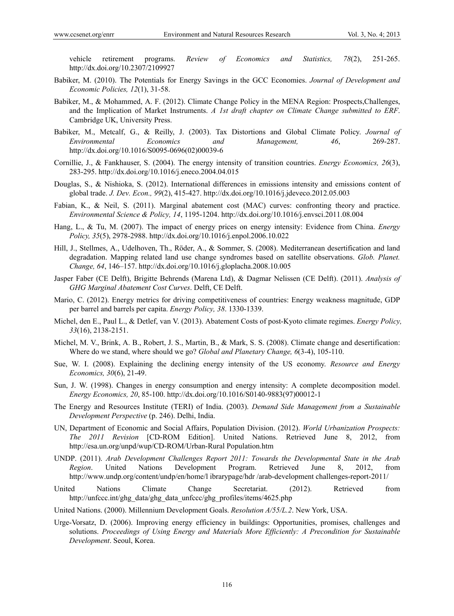vehicle retirement programs. *Review of Economics and Statistics, 78*(2), 251-265. http://dx.doi.org/10.2307/2109927

- Babiker, M. (2010). The Potentials for Energy Savings in the GCC Economies. *Journal of Development and Economic Policies, 12*(1), 31-58.
- Babiker, M., & Mohammed, A. F. (2012). Climate Change Policy in the MENA Region: Prospects,Challenges, and the Implication of Market Instruments. *A 1st draft chapter on Climate Change submitted to ERF*. Cambridge UK, University Press.
- Babiker, M., Metcalf, G., & Reilly, J. (2003). Tax Distortions and Global Climate Policy. *Journal of Environmental Economics and Management, 46*, 269-287. http://dx.doi.org/10.1016/S0095-0696(02)00039-6
- Cornillie, J., & Fankhauser, S. (2004). The energy intensity of transition countries. *Energy Economics, 26*(3), 283-295. http://dx.doi.org/10.1016/j.eneco.2004.04.015
- Douglas, S., & Nishioka, S. (2012). International differences in emissions intensity and emissions content of global trade. *J. Dev. Econ., 99*(2), 415-427. http://dx.doi.org/10.1016/j.jdeveco.2012.05.003
- Fabian, K., & Neil, S. (2011). Marginal abatement cost (MAC) curves: confronting theory and practice. *Environmental Science & Policy, 14*, 1195-1204. http://dx.doi.org/10.1016/j.envsci.2011.08.004
- Hang, L., & Tu, M. (2007). The impact of energy prices on energy intensity: Evidence from China. *Energy Policy, 35*(5), 2978-2988. http://dx.doi.org/10.1016/j.enpol.2006.10.022
- Hill, J., Stellmes, A., Udelhoven, Th., Röder, A., & Sommer, S. (2008). Mediterranean desertification and land degradation. Mapping related land use change syndromes based on satellite observations. *Glob. Planet. Change, 64*, 146–157. http://dx.doi.org/10.1016/j.gloplacha.2008.10.005
- Jasper Faber (CE Delft), Brigitte Behrends (Marena Ltd), & Dagmar Nelissen (CE Delft). (2011). *Analysis of GHG Marginal Abatement Cost Curves*. Delft, CE Delft.
- Mario, C. (2012). Energy metrics for driving competitiveness of countries: Energy weakness magnitude, GDP per barrel and barrels per capita. *Energy Policy, 38*. 1330-1339.
- Michel, den E., Paul L., & Detlef, van V. (2013). Abatement Costs of post-Kyoto climate regimes. *Energy Policy, 33*(16), 2138-2151.
- Michel, M. V., Brink, A. B., Robert, J. S., Martin, B., & Mark, S. S. (2008). Climate change and desertification: Where do we stand, where should we go? *Global and Planetary Change, 6*(3-4), 105-110.
- Sue, W. I. (2008). Explaining the declining energy intensity of the US economy. *Resource and Energy Economics, 30*(6), 21-49.
- Sun, J. W. (1998). Changes in energy consumption and energy intensity: A complete decomposition model. *Energy Economics, 20*, 85-100. http://dx.doi.org/10.1016/S0140-9883(97)00012-1
- The Energy and Resources Institute (TERI) of India. (2003). *Demand Side Management from a Sustainable Development Perspective* (p. 246). Delhi, India.
- UN, Department of Economic and Social Affairs, Population Division. (2012). *World Urbanization Prospects: The 2011 Revision* [CD-ROM Edition]. United Nations. Retrieved June 8, 2012, from http://esa.un.org/unpd/wup/CD-ROM/Urban-Rural Population.htm
- UNDP. (2011). *Arab Development Challenges Report 2011: Towards the Developmental State in the Arab Region*. United Nations Development Program. Retrieved June 8, 2012, from http://www.undp.org/content/undp/en/home/l ibrarypage/hdr /arab-development challenges-report-2011/
- United Nations Climate Change Secretariat. (2012). Retrieved from http://unfccc.int/ghg\_data/ghg\_data\_unfccc/ghg\_profiles/items/4625.php
- United Nations. (2000). Millennium Development Goals. *Resolution A/55/L.2*. New York, USA.
- Urge-Vorsatz, D. (2006). Improving energy efficiency in buildings: Opportunities, promises, challenges and solutions. *Proceedings of Using Energy and Materials More Efficiently: A Precondition for Sustainable Development*. Seoul, Korea.